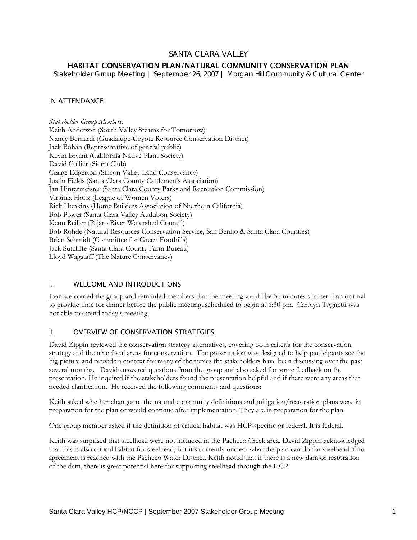# SANTA CLARA VALLEY

# HABITAT CONSERVATION PLAN/NATURAL COMMUNITY CONSERVATION PLAN

*Stakeholder Group Meeting | September 26, 2007 | Morgan Hill Community & Cultural Center* 

### IN ATTENDANCE:

*Stakeholder Group Members:*  Keith Anderson (South Valley Steams for Tomorrow) Nancy Bernardi (Guadalupe-Coyote Resource Conservation District) Jack Bohan (Representative of general public) Kevin Bryant (California Native Plant Society) David Collier (Sierra Club) Craige Edgerton (Silicon Valley Land Conservancy) Justin Fields (Santa Clara County Cattlemen's Association) Jan Hintermeister (Santa Clara County Parks and Recreation Commission) Virginia Holtz (League of Women Voters) Rick Hopkins (Home Builders Association of Northern California) Bob Power (Santa Clara Valley Audubon Society) Kenn Reiller (Pajaro River Watershed Council) Bob Rohde (Natural Resources Conservation Service, San Benito & Santa Clara Counties) Brian Schmidt (Committee for Green Foothills) Jack Sutcliffe (Santa Clara County Farm Bureau) Lloyd Wagstaff (The Nature Conservancy)

#### I. WELCOME AND INTRODUCTIONS

Joan welcomed the group and reminded members that the meeting would be 30 minutes shorter than normal to provide time for dinner before the public meeting, scheduled to begin at 6:30 pm. Carolyn Tognetti was not able to attend today's meeting.

### II. OVERVIEW OF CONSERVATION STRATEGIES

David Zippin reviewed the conservation strategy alternatives, covering both criteria for the conservation strategy and the nine focal areas for conservation. The presentation was designed to help participants see the big picture and provide a context for many of the topics the stakeholders have been discussing over the past several months. David answered questions from the group and also asked for some feedback on the presentation. He inquired if the stakeholders found the presentation helpful and if there were any areas that needed clarification. He received the following comments and questions:

Keith asked whether changes to the natural community definitions and mitigation/restoration plans were in preparation for the plan or would continue after implementation. They are in preparation for the plan.

One group member asked if the definition of critical habitat was HCP-specific or federal. It is federal.

Keith was surprised that steelhead were not included in the Pacheco Creek area. David Zippin acknowledged that this is also critical habitat for steelhead, but it's currently unclear what the plan can do for steelhead if no agreement is reached with the Pacheco Water District. Keith noted that if there is a new dam or restoration of the dam, there is great potential here for supporting steelhead through the HCP.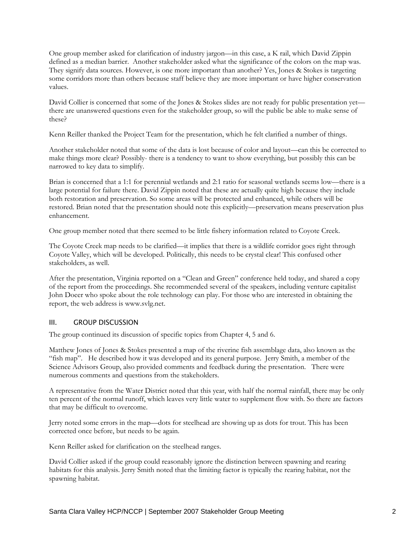One group member asked for clarification of industry jargon—in this case, a K rail, which David Zippin defined as a median barrier. Another stakeholder asked what the significance of the colors on the map was. They signify data sources. However, is one more important than another? Yes, Jones & Stokes is targeting some corridors more than others because staff believe they are more important or have higher conservation values.

David Collier is concerned that some of the Jones & Stokes slides are not ready for public presentation vet there are unanswered questions even for the stakeholder group, so will the public be able to make sense of these?

Kenn Reiller thanked the Project Team for the presentation, which he felt clarified a number of things.

Another stakeholder noted that some of the data is lost because of color and layout—can this be corrected to make things more clear? Possibly- there is a tendency to want to show everything, but possibly this can be narrowed to key data to simplify.

Brian is concerned that a 1:1 for perennial wetlands and 2:1 ratio for seasonal wetlands seems low—there is a large potential for failure there. David Zippin noted that these are actually quite high because they include both restoration and preservation. So some areas will be protected and enhanced, while others will be restored. Brian noted that the presentation should note this explicitly—preservation means preservation plus enhancement.

One group member noted that there seemed to be little fishery information related to Coyote Creek.

The Coyote Creek map needs to be clarified—it implies that there is a wildlife corridor goes right through Coyote Valley, which will be developed. Politically, this needs to be crystal clear! This confused other stakeholders, as well.

After the presentation, Virginia reported on a "Clean and Green" conference held today, and shared a copy of the report from the proceedings. She recommended several of the speakers, including venture capitalist John Doeer who spoke about the role technology can play. For those who are interested in obtaining the report, the web address is www.svlg.net.

# III. GROUP DISCUSSION

The group continued its discussion of specific topics from Chapter 4, 5 and 6.

Matthew Jones of Jones & Stokes presented a map of the riverine fish assemblage data, also known as the "fish map". He described how it was developed and its general purpose. Jerry Smith, a member of the Science Advisors Group, also provided comments and feedback during the presentation. There were numerous comments and questions from the stakeholders.

A representative from the Water District noted that this year, with half the normal rainfall, there may be only ten percent of the normal runoff, which leaves very little water to supplement flow with. So there are factors that may be difficult to overcome.

Jerry noted some errors in the map—dots for steelhead are showing up as dots for trout. This has been corrected once before, but needs to be again.

Kenn Reiller asked for clarification on the steelhead ranges.

David Collier asked if the group could reasonably ignore the distinction between spawning and rearing habitats for this analysis. Jerry Smith noted that the limiting factor is typically the rearing habitat, not the spawning habitat.